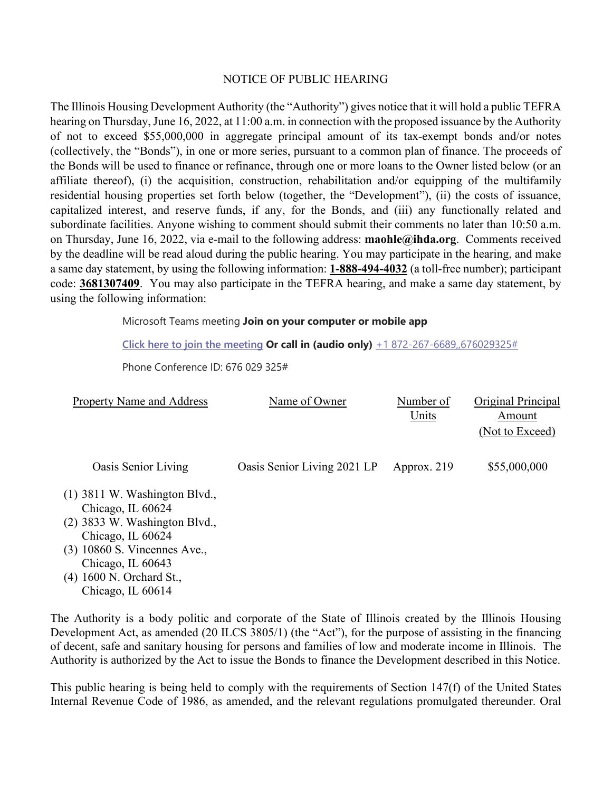## NOTICE OF PUBLIC HEARING

The Illinois Housing Development Authority (the "Authority") gives notice that it will hold a public TEFRA hearing on Thursday, June 16, 2022, at 11:00 a.m. in connection with the proposed issuance by the Authority of not to exceed \$55,000,000 in aggregate principal amount of its tax-exempt bonds and/or notes (collectively, the "Bonds"), in one or more series, pursuant to a common plan of finance. The proceeds of the Bonds will be used to finance or refinance, through one or more loans to the Owner listed below (or an affiliate thereof), (i) the acquisition, construction, rehabilitation and/or equipping of the multifamily residential housing properties set forth below (together, the "Development"), (ii) the costs of issuance, capitalized interest, and reserve funds, if any, for the Bonds, and (iii) any functionally related and subordinate facilities. Anyone wishing to comment should submit their comments no later than 10:50 a.m. on Thursday, June 16, 2022, via e-mail to the following address: **maohle@ihda.org**. Comments received by the deadline will be read aloud during the public hearing. You may participate in the hearing, and make a same day statement, by using the following information: **1-888-494-4032** (a toll-free number); participant code: **3681307409**. You may also participate in the TEFRA hearing, and make a same day statement, by using the following information:

Microsoft Teams meeting **Join on your computer or mobile app** 

**Click here to join the meeting Or call in (audio only)** +1 872-267-6689,,676029325#

Phone Conference ID: 676 029 325#

| <b>Property Name and Address</b>                                                                                                                                                                                   | Name of Owner               | Number of<br>Units | Original Principal<br>Amount<br>(Not to Exceed) |
|--------------------------------------------------------------------------------------------------------------------------------------------------------------------------------------------------------------------|-----------------------------|--------------------|-------------------------------------------------|
| Oasis Senior Living                                                                                                                                                                                                | Oasis Senior Living 2021 LP | Approx. 219        | \$55,000,000                                    |
| $(1)$ 3811 W. Washington Blvd.,<br>Chicago, IL 60624<br>$(2)$ 3833 W. Washington Blvd.,<br>Chicago, IL 60624<br>(3) 10860 S. Vincennes Ave.,<br>Chicago, IL 60643<br>(4) 1600 N. Orchard St.,<br>Chicago, IL 60614 |                             |                    |                                                 |

The Authority is a body politic and corporate of the State of Illinois created by the Illinois Housing Development Act, as amended (20 ILCS 3805/1) (the "Act"), for the purpose of assisting in the financing of decent, safe and sanitary housing for persons and families of low and moderate income in Illinois. The Authority is authorized by the Act to issue the Bonds to finance the Development described in this Notice.

This public hearing is being held to comply with the requirements of Section 147(f) of the United States Internal Revenue Code of 1986, as amended, and the relevant regulations promulgated thereunder. Oral